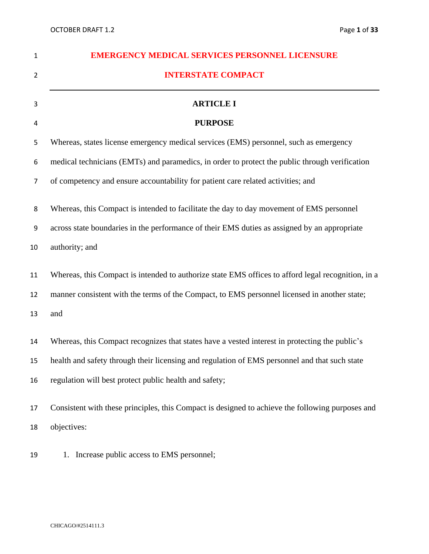| $\mathbf{1}$   | <b>EMERGENCY MEDICAL SERVICES PERSONNEL LICENSURE</b>                                                                                                                                                                                                     |
|----------------|-----------------------------------------------------------------------------------------------------------------------------------------------------------------------------------------------------------------------------------------------------------|
| $\overline{2}$ | <b>INTERSTATE COMPACT</b>                                                                                                                                                                                                                                 |
| 3              | <b>ARTICLE I</b>                                                                                                                                                                                                                                          |
| 4              | <b>PURPOSE</b>                                                                                                                                                                                                                                            |
| 5              | Whereas, states license emergency medical services (EMS) personnel, such as emergency                                                                                                                                                                     |
| 6              | medical technicians (EMTs) and paramedics, in order to protect the public through verification                                                                                                                                                            |
| $\overline{7}$ | of competency and ensure accountability for patient care related activities; and                                                                                                                                                                          |
| 8              | Whereas, this Compact is intended to facilitate the day to day movement of EMS personnel                                                                                                                                                                  |
| 9              | across state boundaries in the performance of their EMS duties as assigned by an appropriate                                                                                                                                                              |
| 10             | authority; and                                                                                                                                                                                                                                            |
| 11<br>12       | Whereas, this Compact is intended to authorize state EMS offices to afford legal recognition, in a<br>manner consistent with the terms of the Compact, to EMS personnel licensed in another state;                                                        |
| 13             | and                                                                                                                                                                                                                                                       |
| 14<br>15<br>16 | Whereas, this Compact recognizes that states have a vested interest in protecting the public's<br>health and safety through their licensing and regulation of EMS personnel and that such state<br>regulation will best protect public health and safety; |
| 17<br>18       | Consistent with these principles, this Compact is designed to achieve the following purposes and<br>objectives:                                                                                                                                           |

19 1. Increase public access to EMS personnel;

#### CHICAGO/#2514111.3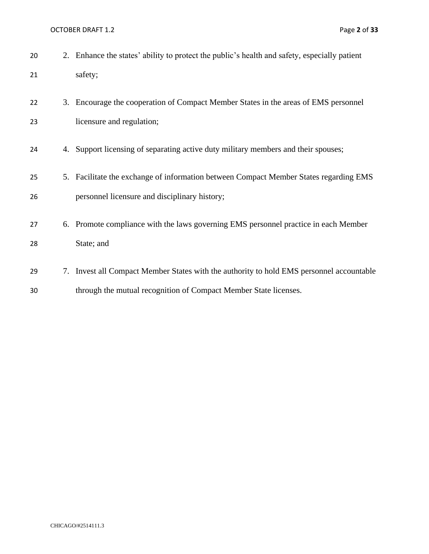OCTOBER DRAFT 1.2 Page 2 of 33

| 20 | 2. Enhance the states' ability to protect the public's health and safety, especially patient |
|----|----------------------------------------------------------------------------------------------|
| 21 | safety;                                                                                      |
| 22 | 3. Encourage the cooperation of Compact Member States in the areas of EMS personnel          |
| 23 | licensure and regulation;                                                                    |
| 24 | 4. Support licensing of separating active duty military members and their spouses;           |
| 25 | 5. Facilitate the exchange of information between Compact Member States regarding EMS        |
| 26 | personnel licensure and disciplinary history;                                                |
| 27 | 6. Promote compliance with the laws governing EMS personnel practice in each Member          |
| 28 | State; and                                                                                   |
| 29 | 7. Invest all Compact Member States with the authority to hold EMS personnel accountable     |
| 30 | through the mutual recognition of Compact Member State licenses.                             |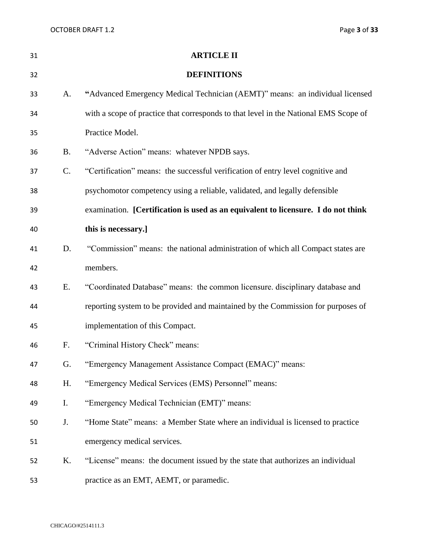| Page 3 of 33 |  |  |  |
|--------------|--|--|--|
|--------------|--|--|--|

| 31 |           | <b>ARTICLE II</b>                                                                    |
|----|-----------|--------------------------------------------------------------------------------------|
| 32 |           | <b>DEFINITIONS</b>                                                                   |
| 33 | A.        | "Advanced Emergency Medical Technician (AEMT)" means: an individual licensed         |
| 34 |           | with a scope of practice that corresponds to that level in the National EMS Scope of |
| 35 |           | Practice Model.                                                                      |
| 36 | <b>B.</b> | "Adverse Action" means: whatever NPDB says.                                          |
| 37 | C.        | "Certification" means: the successful verification of entry level cognitive and      |
| 38 |           | psychomotor competency using a reliable, validated, and legally defensible           |
| 39 |           | examination. [Certification is used as an equivalent to licensure. I do not think    |
| 40 |           | this is necessary.]                                                                  |
| 41 | D.        | "Commission" means: the national administration of which all Compact states are      |
| 42 |           | members.                                                                             |
| 43 | Ε.        | "Coordinated Database" means: the common licensure. disciplinary database and        |
| 44 |           | reporting system to be provided and maintained by the Commission for purposes of     |
| 45 |           | implementation of this Compact.                                                      |
| 46 | F.        | "Criminal History Check" means:                                                      |
| 47 | G.        | "Emergency Management Assistance Compact (EMAC)" means:                              |
| 48 | H.        | "Emergency Medical Services (EMS) Personnel" means:                                  |
| 49 | I.        | "Emergency Medical Technician (EMT)" means:                                          |
| 50 | J.        | "Home State" means: a Member State where an individual is licensed to practice       |
| 51 |           | emergency medical services.                                                          |
| 52 | Κ.        | "License" means: the document issued by the state that authorizes an individual      |
| 53 |           | practice as an EMT, AEMT, or paramedic.                                              |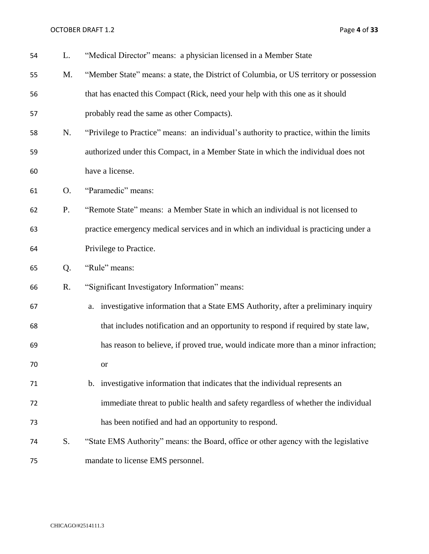OCTOBER DRAFT 1.2 Page 4 of 33

| 54 | L. | "Medical Director" means: a physician licensed in a Member State                        |
|----|----|-----------------------------------------------------------------------------------------|
| 55 | M. | "Member State" means: a state, the District of Columbia, or US territory or possession  |
| 56 |    | that has enacted this Compact (Rick, need your help with this one as it should          |
| 57 |    | probably read the same as other Compacts).                                              |
| 58 | N. | "Privilege to Practice" means: an individual's authority to practice, within the limits |
| 59 |    | authorized under this Compact, in a Member State in which the individual does not       |
| 60 |    | have a license.                                                                         |
| 61 | O. | "Paramedic" means:                                                                      |
| 62 | P. | "Remote State" means: a Member State in which an individual is not licensed to          |
| 63 |    | practice emergency medical services and in which an individual is practicing under a    |
| 64 |    | Privilege to Practice.                                                                  |
| 65 | Q. | "Rule" means:                                                                           |
| 66 | R. | "Significant Investigatory Information" means:                                          |
| 67 |    | investigative information that a State EMS Authority, after a preliminary inquiry<br>a. |
| 68 |    | that includes notification and an opportunity to respond if required by state law,      |
| 69 |    | has reason to believe, if proved true, would indicate more than a minor infraction;     |
| 70 |    | or                                                                                      |
| 71 |    | b. investigative information that indicates that the individual represents an           |
| 72 |    | immediate threat to public health and safety regardless of whether the individual       |
| 73 |    | has been notified and had an opportunity to respond.                                    |
| 74 | S. | "State EMS Authority" means: the Board, office or other agency with the legislative     |
| 75 |    | mandate to license EMS personnel.                                                       |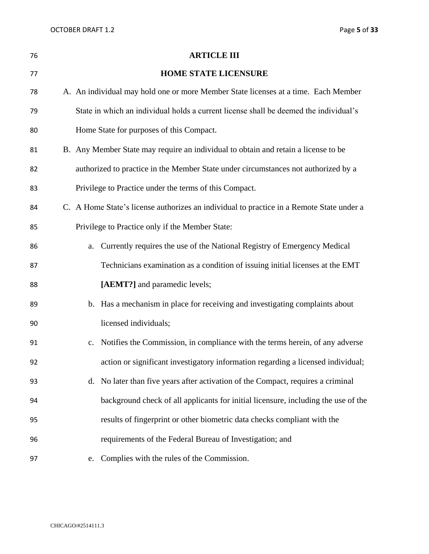| 76 | <b>ARTICLE III</b>                                                                       |  |
|----|------------------------------------------------------------------------------------------|--|
| 77 | <b>HOME STATE LICENSURE</b>                                                              |  |
| 78 | A. An individual may hold one or more Member State licenses at a time. Each Member       |  |
| 79 | State in which an individual holds a current license shall be deemed the individual's    |  |
| 80 | Home State for purposes of this Compact.                                                 |  |
| 81 | B. Any Member State may require an individual to obtain and retain a license to be       |  |
| 82 | authorized to practice in the Member State under circumstances not authorized by a       |  |
| 83 | Privilege to Practice under the terms of this Compact.                                   |  |
| 84 | C. A Home State's license authorizes an individual to practice in a Remote State under a |  |
| 85 | Privilege to Practice only if the Member State:                                          |  |
| 86 | Currently requires the use of the National Registry of Emergency Medical<br>a.           |  |
| 87 | Technicians examination as a condition of issuing initial licenses at the EMT            |  |
| 88 | [AEMT?] and paramedic levels;                                                            |  |
| 89 | b. Has a mechanism in place for receiving and investigating complaints about             |  |
| 90 | licensed individuals;                                                                    |  |
| 91 | Notifies the Commission, in compliance with the terms herein, of any adverse<br>c.       |  |
| 92 | action or significant investigatory information regarding a licensed individual;         |  |
| 93 | d. No later than five years after activation of the Compact, requires a criminal         |  |
| 94 | background check of all applicants for initial licensure, including the use of the       |  |
| 95 | results of fingerprint or other biometric data checks compliant with the                 |  |
| 96 | requirements of the Federal Bureau of Investigation; and                                 |  |
| 97 | Complies with the rules of the Commission.<br>e.                                         |  |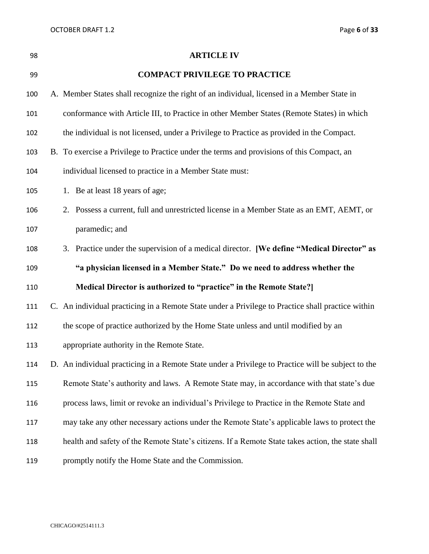| 98  | <b>ARTICLE IV</b>                                                                                  |
|-----|----------------------------------------------------------------------------------------------------|
| 99  | <b>COMPACT PRIVILEGE TO PRACTICE</b>                                                               |
| 100 | A. Member States shall recognize the right of an individual, licensed in a Member State in         |
| 101 | conformance with Article III, to Practice in other Member States (Remote States) in which          |
| 102 | the individual is not licensed, under a Privilege to Practice as provided in the Compact.          |
| 103 | B. To exercise a Privilege to Practice under the terms and provisions of this Compact, an          |
| 104 | individual licensed to practice in a Member State must:                                            |
| 105 | 1. Be at least 18 years of age;                                                                    |
| 106 | 2. Possess a current, full and unrestricted license in a Member State as an EMT, AEMT, or          |
| 107 | paramedic; and                                                                                     |
| 108 | 3. Practice under the supervision of a medical director. [We define "Medical Director" as          |
| 109 | "a physician licensed in a Member State." Do we need to address whether the                        |
| 110 | Medical Director is authorized to "practice" in the Remote State?]                                 |
| 111 | C. An individual practicing in a Remote State under a Privilege to Practice shall practice within  |
| 112 | the scope of practice authorized by the Home State unless and until modified by an                 |
| 113 | appropriate authority in the Remote State.                                                         |
| 114 | D. An individual practicing in a Remote State under a Privilege to Practice will be subject to the |
| 115 | Remote State's authority and laws. A Remote State may, in accordance with that state's due         |
| 116 | process laws, limit or revoke an individual's Privilege to Practice in the Remote State and        |
| 117 | may take any other necessary actions under the Remote State's applicable laws to protect the       |
| 118 | health and safety of the Remote State's citizens. If a Remote State takes action, the state shall  |
| 119 | promptly notify the Home State and the Commission.                                                 |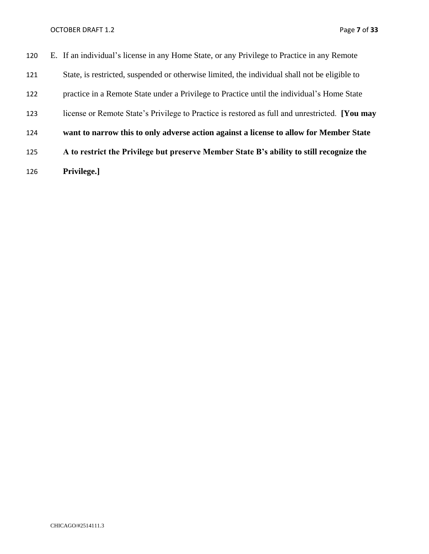## OCTOBER DRAFT 1.2 Page 7 of 33

| 120 | E. If an individual's license in any Home State, or any Privilege to Practice in any Remote           |
|-----|-------------------------------------------------------------------------------------------------------|
| 121 | State, is restricted, suspended or otherwise limited, the individual shall not be eligible to         |
| 122 | practice in a Remote State under a Privilege to Practice until the individual's Home State            |
| 123 | license or Remote State's Privilege to Practice is restored as full and unrestricted. <b>[You may</b> |
| 124 | want to narrow this to only adverse action against a license to allow for Member State                |
| 125 | A to restrict the Privilege but preserve Member State B's ability to still recognize the              |
| 126 | Privilege.]                                                                                           |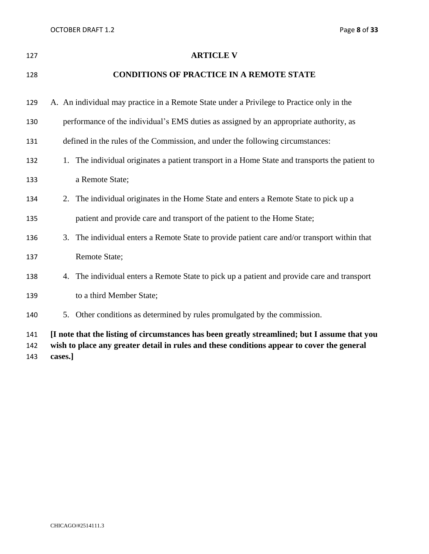| 127               | <b>ARTICLE V</b>                                                                                                                                                                                       |
|-------------------|--------------------------------------------------------------------------------------------------------------------------------------------------------------------------------------------------------|
| 128               | <b>CONDITIONS OF PRACTICE IN A REMOTE STATE</b>                                                                                                                                                        |
| 129               | A. An individual may practice in a Remote State under a Privilege to Practice only in the                                                                                                              |
| 130               | performance of the individual's EMS duties as assigned by an appropriate authority, as                                                                                                                 |
| 131               | defined in the rules of the Commission, and under the following circumstances:                                                                                                                         |
| 132               | 1. The individual originates a patient transport in a Home State and transports the patient to                                                                                                         |
| 133               | a Remote State;                                                                                                                                                                                        |
| 134               | 2. The individual originates in the Home State and enters a Remote State to pick up a                                                                                                                  |
| 135               | patient and provide care and transport of the patient to the Home State;                                                                                                                               |
| 136               | 3. The individual enters a Remote State to provide patient care and/or transport within that                                                                                                           |
| 137               | Remote State;                                                                                                                                                                                          |
| 138               | 4. The individual enters a Remote State to pick up a patient and provide care and transport                                                                                                            |
| 139               | to a third Member State;                                                                                                                                                                               |
| 140               | 5. Other conditions as determined by rules promulgated by the commission.                                                                                                                              |
| 141<br>142<br>143 | [I note that the listing of circumstances has been greatly streamlined; but I assume that you<br>wish to place any greater detail in rules and these conditions appear to cover the general<br>cases.] |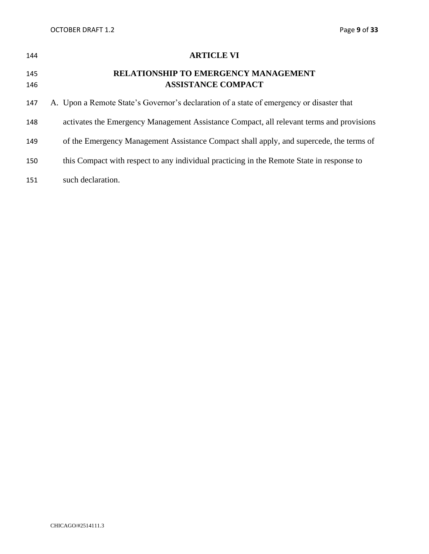| 144        | <b>ARTICLE VI</b>                                                                         |
|------------|-------------------------------------------------------------------------------------------|
| 145<br>146 | <b>RELATIONSHIP TO EMERGENCY MANAGEMENT</b><br><b>ASSISTANCE COMPACT</b>                  |
| 147        | A. Upon a Remote State's Governor's declaration of a state of emergency or disaster that  |
| 148        | activates the Emergency Management Assistance Compact, all relevant terms and provisions  |
| 149        | of the Emergency Management Assistance Compact shall apply, and supercede, the terms of   |
| 150        | this Compact with respect to any individual practicing in the Remote State in response to |
| 151        | such declaration.                                                                         |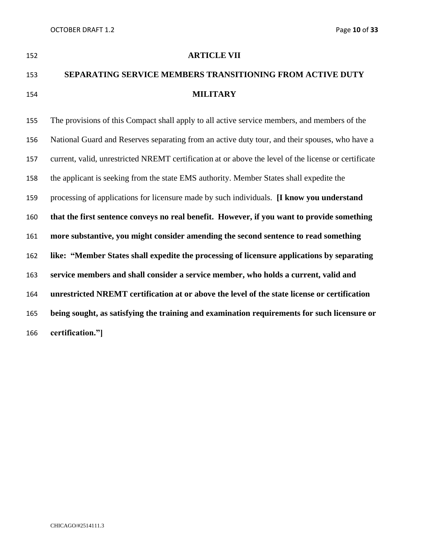| -152 | <b>ARTICLE VII</b>                                        |
|------|-----------------------------------------------------------|
| -153 | SEPARATING SERVICE MEMBERS TRANSITIONING FROM ACTIVE DUTY |
| 154  | <b>MILITARY</b>                                           |

 The provisions of this Compact shall apply to all active service members, and members of the National Guard and Reserves separating from an active duty tour, and their spouses, who have a current, valid, unrestricted NREMT certification at or above the level of the license or certificate the applicant is seeking from the state EMS authority. Member States shall expedite the processing of applications for licensure made by such individuals. **[I know you understand that the first sentence conveys no real benefit. However, if you want to provide something more substantive, you might consider amending the second sentence to read something like: "Member States shall expedite the processing of licensure applications by separating service members and shall consider a service member, who holds a current, valid and unrestricted NREMT certification at or above the level of the state license or certification being sought, as satisfying the training and examination requirements for such licensure or certification."]**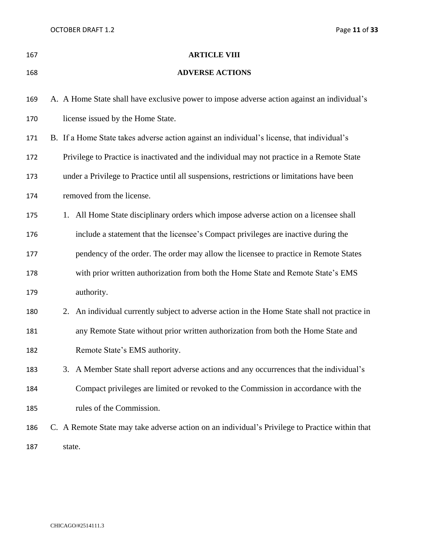OCTOBER DRAFT 1.2 Page 11 of 33

| 167 | <b>ARTICLE VIII</b>                                                                            |
|-----|------------------------------------------------------------------------------------------------|
| 168 | <b>ADVERSE ACTIONS</b>                                                                         |
| 169 | A. A Home State shall have exclusive power to impose adverse action against an individual's    |
| 170 | license issued by the Home State.                                                              |
| 171 | B. If a Home State takes adverse action against an individual's license, that individual's     |
| 172 | Privilege to Practice is inactivated and the individual may not practice in a Remote State     |
| 173 | under a Privilege to Practice until all suspensions, restrictions or limitations have been     |
| 174 | removed from the license.                                                                      |
| 175 | 1. All Home State disciplinary orders which impose adverse action on a licensee shall          |
| 176 | include a statement that the licensee's Compact privileges are inactive during the             |
| 177 | pendency of the order. The order may allow the licensee to practice in Remote States           |
| 178 | with prior written authorization from both the Home State and Remote State's EMS               |
| 179 | authority.                                                                                     |
| 180 | 2. An individual currently subject to adverse action in the Home State shall not practice in   |
| 181 | any Remote State without prior written authorization from both the Home State and              |
| 182 | Remote State's EMS authority.                                                                  |
| 183 | 3. A Member State shall report adverse actions and any occurrences that the individual's       |
| 184 | Compact privileges are limited or revoked to the Commission in accordance with the             |
| 185 | rules of the Commission.                                                                       |
| 186 | C. A Remote State may take adverse action on an individual's Privilege to Practice within that |
| 187 | state.                                                                                         |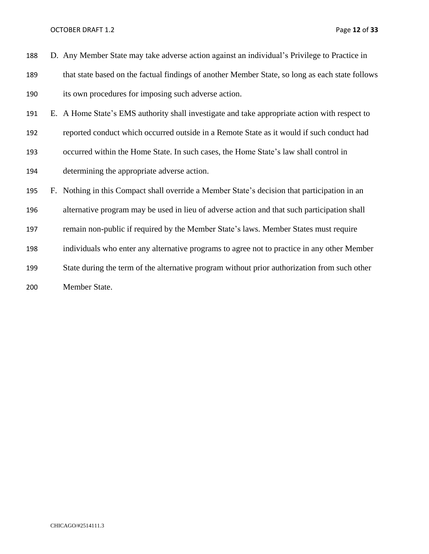| 188 | D. Any Member State may take adverse action against an individual's Privilege to Practice in    |
|-----|-------------------------------------------------------------------------------------------------|
| 189 | that state based on the factual findings of another Member State, so long as each state follows |
| 190 | its own procedures for imposing such adverse action.                                            |
| 191 | E. A Home State's EMS authority shall investigate and take appropriate action with respect to   |
| 192 | reported conduct which occurred outside in a Remote State as it would if such conduct had       |
| 193 | occurred within the Home State. In such cases, the Home State's law shall control in            |
| 194 | determining the appropriate adverse action.                                                     |
| 195 | F. Nothing in this Compact shall override a Member State's decision that participation in an    |
| 196 | alternative program may be used in lieu of adverse action and that such participation shall     |
| 197 | remain non-public if required by the Member State's laws. Member States must require            |
| 198 | individuals who enter any alternative programs to agree not to practice in any other Member     |
| 199 | State during the term of the alternative program without prior authorization from such other    |
| 200 | Member State.                                                                                   |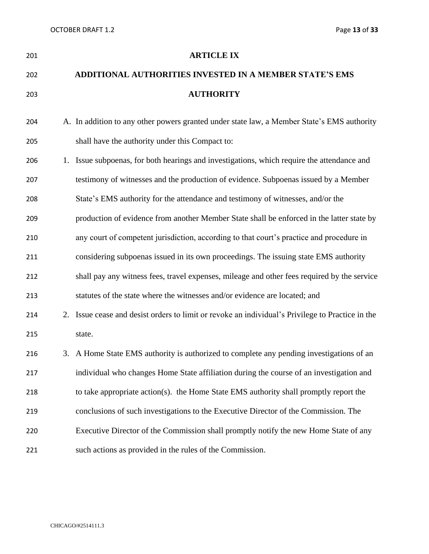| 201 |    | <b>ARTICLE IX</b>                                                                             |
|-----|----|-----------------------------------------------------------------------------------------------|
| 202 |    | <b>ADDITIONAL AUTHORITIES INVESTED IN A MEMBER STATE'S EMS</b>                                |
| 203 |    | <b>AUTHORITY</b>                                                                              |
| 204 |    | A. In addition to any other powers granted under state law, a Member State's EMS authority    |
| 205 |    | shall have the authority under this Compact to:                                               |
| 206 | 1. | Issue subpoenas, for both hearings and investigations, which require the attendance and       |
| 207 |    | testimony of witnesses and the production of evidence. Subpoenas issued by a Member           |
| 208 |    | State's EMS authority for the attendance and testimony of witnesses, and/or the               |
| 209 |    | production of evidence from another Member State shall be enforced in the latter state by     |
| 210 |    | any court of competent jurisdiction, according to that court's practice and procedure in      |
| 211 |    | considering subpoenas issued in its own proceedings. The issuing state EMS authority          |
| 212 |    | shall pay any witness fees, travel expenses, mileage and other fees required by the service   |
| 213 |    | statutes of the state where the witnesses and/or evidence are located; and                    |
| 214 | 2. | Issue cease and desist orders to limit or revoke an individual's Privilege to Practice in the |
| 215 |    | state.                                                                                        |
| 216 |    | 3. A Home State EMS authority is authorized to complete any pending investigations of an      |
| 217 |    | individual who changes Home State affiliation during the course of an investigation and       |
| 218 |    | to take appropriate action(s). the Home State EMS authority shall promptly report the         |
| 219 |    | conclusions of such investigations to the Executive Director of the Commission. The           |
| 220 |    | Executive Director of the Commission shall promptly notify the new Home State of any          |
| 221 |    | such actions as provided in the rules of the Commission.                                      |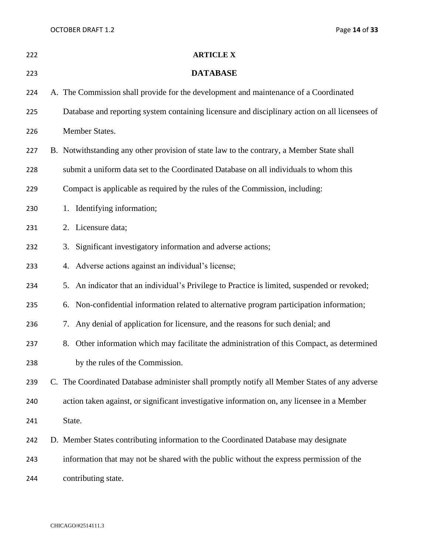OCTOBER DRAFT 1.2 Page 14 of 33

| 222 | <b>ARTICLE X</b>                                                                               |
|-----|------------------------------------------------------------------------------------------------|
| 223 | <b>DATABASE</b>                                                                                |
| 224 | A. The Commission shall provide for the development and maintenance of a Coordinated           |
| 225 | Database and reporting system containing licensure and disciplinary action on all licensees of |
| 226 | Member States.                                                                                 |
| 227 | B. Notwithstanding any other provision of state law to the contrary, a Member State shall      |
| 228 | submit a uniform data set to the Coordinated Database on all individuals to whom this          |
| 229 | Compact is applicable as required by the rules of the Commission, including:                   |
| 230 | 1. Identifying information;                                                                    |
| 231 | 2. Licensure data;                                                                             |
| 232 | 3. Significant investigatory information and adverse actions;                                  |
| 233 | 4. Adverse actions against an individual's license;                                            |
| 234 | 5. An indicator that an individual's Privilege to Practice is limited, suspended or revoked;   |
| 235 | 6. Non-confidential information related to alternative program participation information;      |
| 236 | Any denial of application for licensure, and the reasons for such denial; and<br>7.            |
| 237 | 8. Other information which may facilitate the administration of this Compact, as determined    |
| 238 | by the rules of the Commission.                                                                |
| 239 | C. The Coordinated Database administer shall promptly notify all Member States of any adverse  |
| 240 | action taken against, or significant investigative information on, any licensee in a Member    |
| 241 | State.                                                                                         |
| 242 | D. Member States contributing information to the Coordinated Database may designate            |
| 243 | information that may not be shared with the public without the express permission of the       |
| 244 | contributing state.                                                                            |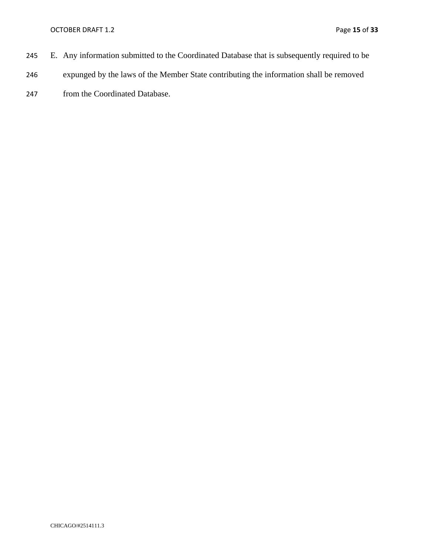- 245 E. Any information submitted to the Coordinated Database that is subsequently required to be
- 246 expunged by the laws of the Member State contributing the information shall be removed
- 247 from the Coordinated Database.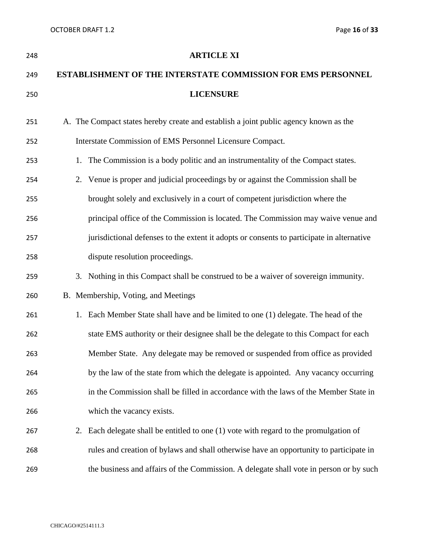| 248 |    | <b>ARTICLE XI</b>                                                                         |
|-----|----|-------------------------------------------------------------------------------------------|
| 249 |    | <b>ESTABLISHMENT OF THE INTERSTATE COMMISSION FOR EMS PERSONNEL</b>                       |
| 250 |    | <b>LICENSURE</b>                                                                          |
| 251 |    | A. The Compact states hereby create and establish a joint public agency known as the      |
| 252 |    | Interstate Commission of EMS Personnel Licensure Compact.                                 |
| 253 |    | 1. The Commission is a body politic and an instrumentality of the Compact states.         |
| 254 |    | 2. Venue is proper and judicial proceedings by or against the Commission shall be         |
| 255 |    | brought solely and exclusively in a court of competent jurisdiction where the             |
| 256 |    | principal office of the Commission is located. The Commission may waive venue and         |
| 257 |    | jurisdictional defenses to the extent it adopts or consents to participate in alternative |
| 258 |    | dispute resolution proceedings.                                                           |
| 259 |    | 3. Nothing in this Compact shall be construed to be a waiver of sovereign immunity.       |
| 260 |    | B. Membership, Voting, and Meetings                                                       |
| 261 | 1. | Each Member State shall have and be limited to one (1) delegate. The head of the          |
| 262 |    | state EMS authority or their designee shall be the delegate to this Compact for each      |
| 263 |    | Member State. Any delegate may be removed or suspended from office as provided            |
| 264 |    | by the law of the state from which the delegate is appointed. Any vacancy occurring       |
| 265 |    | in the Commission shall be filled in accordance with the laws of the Member State in      |
| 266 |    | which the vacancy exists.                                                                 |
| 267 |    | 2. Each delegate shall be entitled to one (1) vote with regard to the promulgation of     |
| 268 |    | rules and creation of bylaws and shall otherwise have an opportunity to participate in    |
| 269 |    | the business and affairs of the Commission. A delegate shall vote in person or by such    |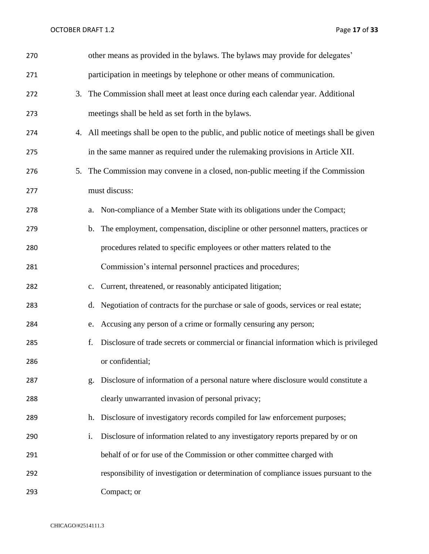OCTOBER DRAFT 1.2 Page 17 of 33

| 270 | other means as provided in the bylaws. The bylaws may provide for delegates'                 |
|-----|----------------------------------------------------------------------------------------------|
| 271 | participation in meetings by telephone or other means of communication.                      |
| 272 | 3. The Commission shall meet at least once during each calendar year. Additional             |
| 273 | meetings shall be held as set forth in the bylaws.                                           |
| 274 | 4. All meetings shall be open to the public, and public notice of meetings shall be given    |
| 275 | in the same manner as required under the rulemaking provisions in Article XII.               |
| 276 | 5. The Commission may convene in a closed, non-public meeting if the Commission              |
| 277 | must discuss:                                                                                |
| 278 | Non-compliance of a Member State with its obligations under the Compact;<br>a.               |
| 279 | b. The employment, compensation, discipline or other personnel matters, practices or         |
| 280 | procedures related to specific employees or other matters related to the                     |
| 281 | Commission's internal personnel practices and procedures;                                    |
| 282 | Current, threatened, or reasonably anticipated litigation;<br>c.                             |
| 283 | d. Negotiation of contracts for the purchase or sale of goods, services or real estate;      |
| 284 | Accusing any person of a crime or formally censuring any person;<br>e.                       |
| 285 | Disclosure of trade secrets or commercial or financial information which is privileged<br>f. |
| 286 | or confidential;                                                                             |
| 287 | Disclosure of information of a personal nature where disclosure would constitute a<br>g.     |
| 288 | clearly unwarranted invasion of personal privacy;                                            |
| 289 | h. Disclosure of investigatory records compiled for law enforcement purposes;                |
| 290 | i.<br>Disclosure of information related to any investigatory reports prepared by or on       |
| 291 | behalf of or for use of the Commission or other committee charged with                       |
| 292 | responsibility of investigation or determination of compliance issues pursuant to the        |
| 293 | Compact; or                                                                                  |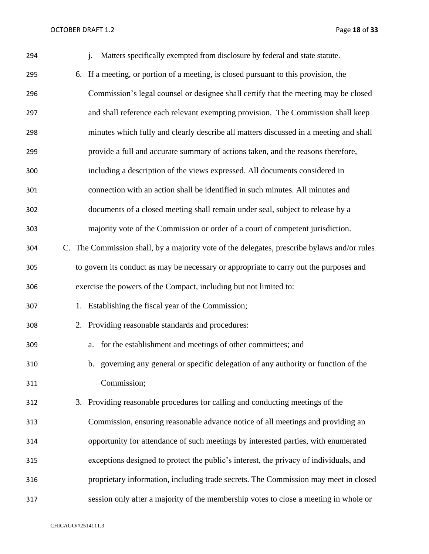OCTOBER DRAFT 1.2 Page 18 of 33

| 294 | Matters specifically exempted from disclosure by federal and state statute.<br>$\mathbf{i}$ . |
|-----|-----------------------------------------------------------------------------------------------|
| 295 | If a meeting, or portion of a meeting, is closed pursuant to this provision, the<br>6.        |
| 296 | Commission's legal counsel or designee shall certify that the meeting may be closed           |
| 297 | and shall reference each relevant exempting provision. The Commission shall keep              |
| 298 | minutes which fully and clearly describe all matters discussed in a meeting and shall         |
| 299 | provide a full and accurate summary of actions taken, and the reasons therefore,              |
| 300 | including a description of the views expressed. All documents considered in                   |
| 301 | connection with an action shall be identified in such minutes. All minutes and                |
| 302 | documents of a closed meeting shall remain under seal, subject to release by a                |
| 303 | majority vote of the Commission or order of a court of competent jurisdiction.                |
| 304 | C. The Commission shall, by a majority vote of the delegates, prescribe bylaws and/or rules   |
| 305 | to govern its conduct as may be necessary or appropriate to carry out the purposes and        |
| 306 | exercise the powers of the Compact, including but not limited to:                             |
| 307 | 1. Establishing the fiscal year of the Commission;                                            |
| 308 | 2. Providing reasonable standards and procedures:                                             |
| 309 | for the establishment and meetings of other committees; and<br>a.                             |
| 310 | b. governing any general or specific delegation of any authority or function of the           |
| 311 | Commission;                                                                                   |
| 312 | 3. Providing reasonable procedures for calling and conducting meetings of the                 |
| 313 | Commission, ensuring reasonable advance notice of all meetings and providing an               |
| 314 | opportunity for attendance of such meetings by interested parties, with enumerated            |
| 315 | exceptions designed to protect the public's interest, the privacy of individuals, and         |
| 316 | proprietary information, including trade secrets. The Commission may meet in closed           |
| 317 | session only after a majority of the membership votes to close a meeting in whole or          |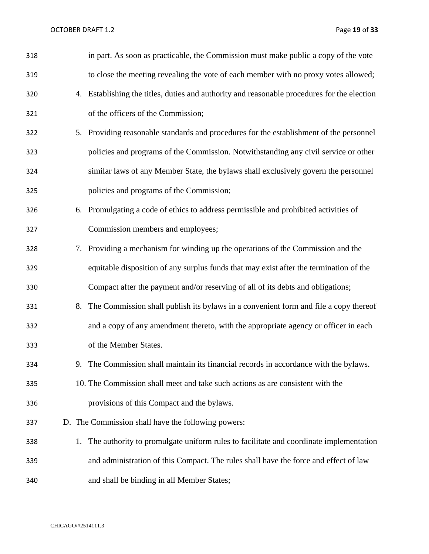OCTOBER DRAFT 1.2 Page 19 of 33

| 318 |    | in part. As soon as practicable, the Commission must make public a copy of the vote         |
|-----|----|---------------------------------------------------------------------------------------------|
| 319 |    | to close the meeting revealing the vote of each member with no proxy votes allowed;         |
| 320 |    | 4. Establishing the titles, duties and authority and reasonable procedures for the election |
| 321 |    | of the officers of the Commission;                                                          |
| 322 |    | 5. Providing reasonable standards and procedures for the establishment of the personnel     |
| 323 |    | policies and programs of the Commission. Notwithstanding any civil service or other         |
| 324 |    | similar laws of any Member State, the bylaws shall exclusively govern the personnel         |
| 325 |    | policies and programs of the Commission;                                                    |
| 326 |    | 6. Promulgating a code of ethics to address permissible and prohibited activities of        |
| 327 |    | Commission members and employees;                                                           |
| 328 |    | 7. Providing a mechanism for winding up the operations of the Commission and the            |
| 329 |    | equitable disposition of any surplus funds that may exist after the termination of the      |
| 330 |    | Compact after the payment and/or reserving of all of its debts and obligations;             |
| 331 | 8. | The Commission shall publish its bylaws in a convenient form and file a copy thereof        |
| 332 |    | and a copy of any amendment thereto, with the appropriate agency or officer in each         |
| 333 |    | of the Member States.                                                                       |
| 334 |    | 9. The Commission shall maintain its financial records in accordance with the bylaws.       |
| 335 |    | 10. The Commission shall meet and take such actions as are consistent with the              |
| 336 |    | provisions of this Compact and the bylaws.                                                  |
| 337 |    | D. The Commission shall have the following powers:                                          |
| 338 | 1. | The authority to promulgate uniform rules to facilitate and coordinate implementation       |
| 339 |    | and administration of this Compact. The rules shall have the force and effect of law        |
| 340 |    | and shall be binding in all Member States;                                                  |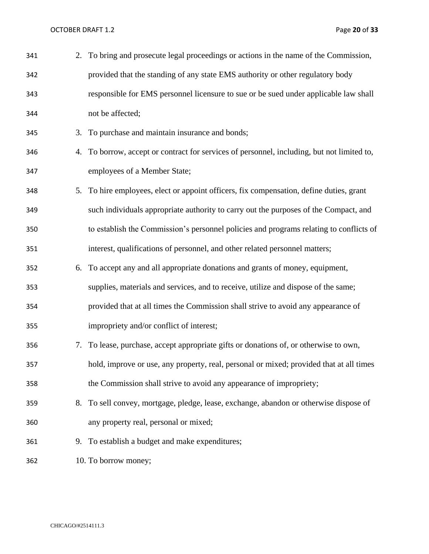OCTOBER DRAFT 1.2 Page 20 of 33

| 341 |    | 2. To bring and prosecute legal proceedings or actions in the name of the Commission,      |
|-----|----|--------------------------------------------------------------------------------------------|
| 342 |    | provided that the standing of any state EMS authority or other regulatory body             |
| 343 |    | responsible for EMS personnel licensure to sue or be sued under applicable law shall       |
| 344 |    | not be affected;                                                                           |
| 345 |    | 3. To purchase and maintain insurance and bonds;                                           |
| 346 |    | 4. To borrow, accept or contract for services of personnel, including, but not limited to, |
| 347 |    | employees of a Member State;                                                               |
| 348 | 5. | To hire employees, elect or appoint officers, fix compensation, define duties, grant       |
| 349 |    | such individuals appropriate authority to carry out the purposes of the Compact, and       |
| 350 |    | to establish the Commission's personnel policies and programs relating to conflicts of     |
| 351 |    | interest, qualifications of personnel, and other related personnel matters;                |
| 352 | 6. | To accept any and all appropriate donations and grants of money, equipment,                |
| 353 |    | supplies, materials and services, and to receive, utilize and dispose of the same;         |
| 354 |    | provided that at all times the Commission shall strive to avoid any appearance of          |
| 355 |    | impropriety and/or conflict of interest;                                                   |
| 356 |    | 7. To lease, purchase, accept appropriate gifts or donations of, or otherwise to own,      |
| 357 |    | hold, improve or use, any property, real, personal or mixed; provided that at all times    |
| 358 |    | the Commission shall strive to avoid any appearance of impropriety;                        |
| 359 |    | 8. To sell convey, mortgage, pledge, lease, exchange, abandon or otherwise dispose of      |
| 360 |    | any property real, personal or mixed;                                                      |
| 361 |    | 9. To establish a budget and make expenditures;                                            |
| 362 |    | 10. To borrow money;                                                                       |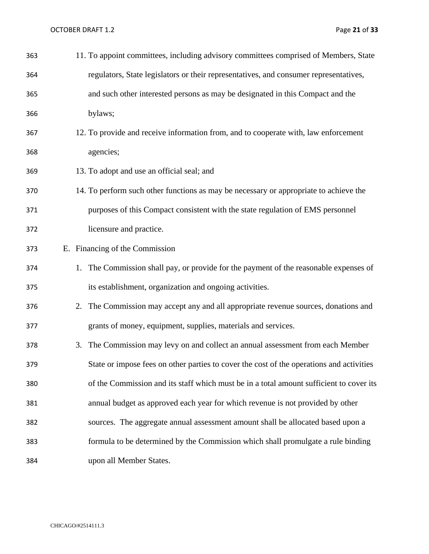OCTOBER DRAFT 1.2 Page 21 of 33

| 363 | 11. To appoint committees, including advisory committees comprised of Members, State     |
|-----|------------------------------------------------------------------------------------------|
| 364 | regulators, State legislators or their representatives, and consumer representatives,    |
| 365 | and such other interested persons as may be designated in this Compact and the           |
| 366 | bylaws;                                                                                  |
| 367 | 12. To provide and receive information from, and to cooperate with, law enforcement      |
| 368 | agencies;                                                                                |
| 369 | 13. To adopt and use an official seal; and                                               |
| 370 | 14. To perform such other functions as may be necessary or appropriate to achieve the    |
| 371 | purposes of this Compact consistent with the state regulation of EMS personnel           |
| 372 | licensure and practice.                                                                  |
| 373 | E. Financing of the Commission                                                           |
| 374 | 1. The Commission shall pay, or provide for the payment of the reasonable expenses of    |
| 375 | its establishment, organization and ongoing activities.                                  |
| 376 | 2. The Commission may accept any and all appropriate revenue sources, donations and      |
| 377 | grants of money, equipment, supplies, materials and services.                            |
| 378 | 3. The Commission may levy on and collect an annual assessment from each Member          |
| 379 | State or impose fees on other parties to cover the cost of the operations and activities |
| 380 | of the Commission and its staff which must be in a total amount sufficient to cover its  |
| 381 | annual budget as approved each year for which revenue is not provided by other           |
| 382 | sources. The aggregate annual assessment amount shall be allocated based upon a          |
| 383 | formula to be determined by the Commission which shall promulgate a rule binding         |
| 384 | upon all Member States.                                                                  |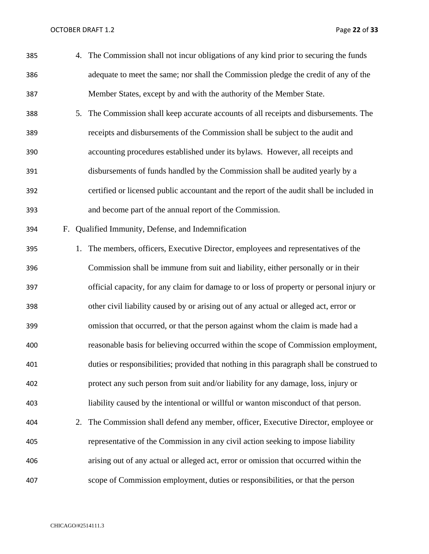OCTOBER DRAFT 1.2 Page 22 of 33

| 385 |    |    | 4. The Commission shall not incur obligations of any kind prior to securing the funds     |
|-----|----|----|-------------------------------------------------------------------------------------------|
| 386 |    |    | adequate to meet the same; nor shall the Commission pledge the credit of any of the       |
| 387 |    |    | Member States, except by and with the authority of the Member State.                      |
| 388 |    |    | 5. The Commission shall keep accurate accounts of all receipts and disbursements. The     |
| 389 |    |    | receipts and disbursements of the Commission shall be subject to the audit and            |
| 390 |    |    | accounting procedures established under its bylaws. However, all receipts and             |
| 391 |    |    | disbursements of funds handled by the Commission shall be audited yearly by a             |
| 392 |    |    | certified or licensed public accountant and the report of the audit shall be included in  |
| 393 |    |    | and become part of the annual report of the Commission.                                   |
| 394 | F. |    | Qualified Immunity, Defense, and Indemnification                                          |
| 395 |    | 1. | The members, officers, Executive Director, employees and representatives of the           |
| 396 |    |    | Commission shall be immune from suit and liability, either personally or in their         |
| 397 |    |    | official capacity, for any claim for damage to or loss of property or personal injury or  |
| 398 |    |    | other civil liability caused by or arising out of any actual or alleged act, error or     |
| 399 |    |    | omission that occurred, or that the person against whom the claim is made had a           |
| 400 |    |    | reasonable basis for believing occurred within the scope of Commission employment,        |
| 401 |    |    | duties or responsibilities; provided that nothing in this paragraph shall be construed to |
| 402 |    |    | protect any such person from suit and/or liability for any damage, loss, injury or        |
| 403 |    |    | liability caused by the intentional or willful or wanton misconduct of that person.       |
| 404 |    | 2. | The Commission shall defend any member, officer, Executive Director, employee or          |
| 405 |    |    | representative of the Commission in any civil action seeking to impose liability          |
| 406 |    |    | arising out of any actual or alleged act, error or omission that occurred within the      |
| 407 |    |    | scope of Commission employment, duties or responsibilities, or that the person            |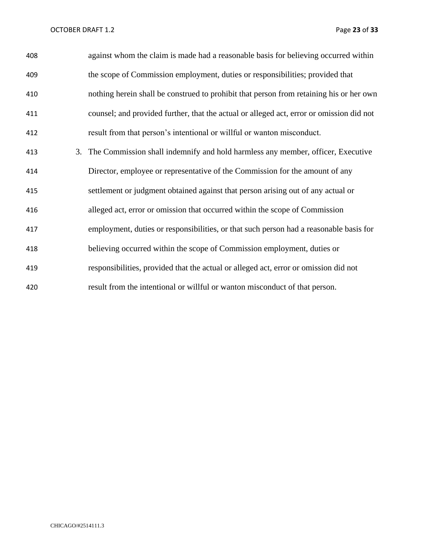OCTOBER DRAFT 1.2 Page 23 of 33

| 408 | against whom the claim is made had a reasonable basis for believing occurred within      |
|-----|------------------------------------------------------------------------------------------|
| 409 | the scope of Commission employment, duties or responsibilities; provided that            |
| 410 | nothing herein shall be construed to prohibit that person from retaining his or her own  |
| 411 | counsel; and provided further, that the actual or alleged act, error or omission did not |
| 412 | result from that person's intentional or willful or wanton misconduct.                   |
| 413 | 3. The Commission shall indemnify and hold harmless any member, officer, Executive       |
| 414 | Director, employee or representative of the Commission for the amount of any             |
| 415 | settlement or judgment obtained against that person arising out of any actual or         |
| 416 | alleged act, error or omission that occurred within the scope of Commission              |
| 417 | employment, duties or responsibilities, or that such person had a reasonable basis for   |
| 418 | believing occurred within the scope of Commission employment, duties or                  |
| 419 | responsibilities, provided that the actual or alleged act, error or omission did not     |
| 420 | result from the intentional or willful or wanton misconduct of that person.              |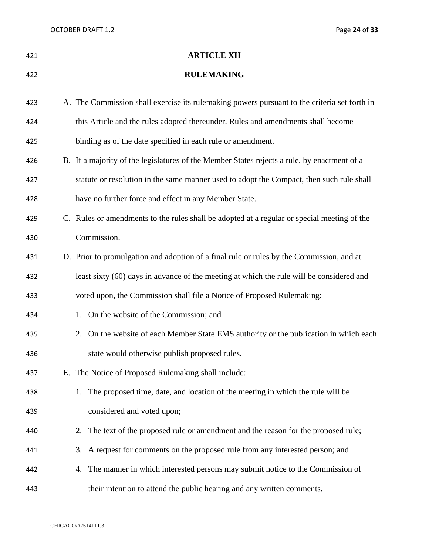OCTOBER DRAFT 1.2 Page 24 of 33

| 421 | <b>ARTICLE XII</b>                                                                           |
|-----|----------------------------------------------------------------------------------------------|
| 422 | <b>RULEMAKING</b>                                                                            |
| 423 | A. The Commission shall exercise its rulemaking powers pursuant to the criteria set forth in |
| 424 | this Article and the rules adopted thereunder. Rules and amendments shall become             |
| 425 | binding as of the date specified in each rule or amendment.                                  |
| 426 | B. If a majority of the legislatures of the Member States rejects a rule, by enactment of a  |
| 427 | statute or resolution in the same manner used to adopt the Compact, then such rule shall     |
| 428 | have no further force and effect in any Member State.                                        |
| 429 | C. Rules or amendments to the rules shall be adopted at a regular or special meeting of the  |
| 430 | Commission.                                                                                  |
| 431 | D. Prior to promulgation and adoption of a final rule or rules by the Commission, and at     |
| 432 | least sixty (60) days in advance of the meeting at which the rule will be considered and     |
| 433 | voted upon, the Commission shall file a Notice of Proposed Rulemaking:                       |
| 434 | 1. On the website of the Commission; and                                                     |
| 435 | 2. On the website of each Member State EMS authority or the publication in which each        |
| 436 | state would otherwise publish proposed rules.                                                |
| 437 | E. The Notice of Proposed Rulemaking shall include:                                          |
| 438 | The proposed time, date, and location of the meeting in which the rule will be<br>1.         |
| 439 | considered and voted upon;                                                                   |
| 440 | The text of the proposed rule or amendment and the reason for the proposed rule;<br>2.       |
| 441 | 3. A request for comments on the proposed rule from any interested person; and               |
| 442 | The manner in which interested persons may submit notice to the Commission of<br>4.          |
| 443 | their intention to attend the public hearing and any written comments.                       |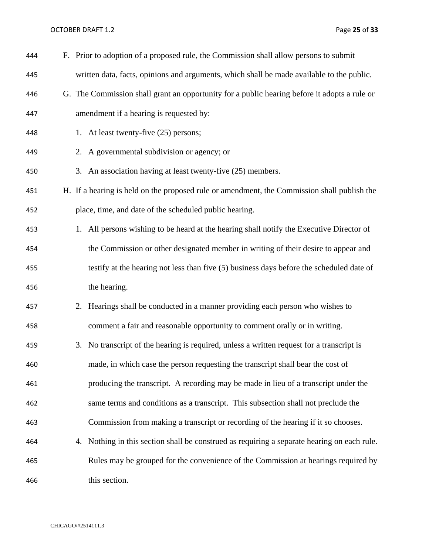OCTOBER DRAFT 1.2 Page 25 of 33

| 444 |    | F. Prior to adoption of a proposed rule, the Commission shall allow persons to submit        |
|-----|----|----------------------------------------------------------------------------------------------|
| 445 |    | written data, facts, opinions and arguments, which shall be made available to the public.    |
| 446 |    | G. The Commission shall grant an opportunity for a public hearing before it adopts a rule or |
| 447 |    | amendment if a hearing is requested by:                                                      |
| 448 |    | 1. At least twenty-five (25) persons;                                                        |
| 449 |    | 2. A governmental subdivision or agency; or                                                  |
| 450 |    | 3. An association having at least twenty-five (25) members.                                  |
| 451 |    | H. If a hearing is held on the proposed rule or amendment, the Commission shall publish the  |
| 452 |    | place, time, and date of the scheduled public hearing.                                       |
| 453 |    | 1. All persons wishing to be heard at the hearing shall notify the Executive Director of     |
| 454 |    | the Commission or other designated member in writing of their desire to appear and           |
| 455 |    | testify at the hearing not less than five (5) business days before the scheduled date of     |
| 456 |    | the hearing.                                                                                 |
| 457 |    | 2. Hearings shall be conducted in a manner providing each person who wishes to               |
| 458 |    | comment a fair and reasonable opportunity to comment orally or in writing.                   |
| 459 | 3. | No transcript of the hearing is required, unless a written request for a transcript is       |
| 460 |    | made, in which case the person requesting the transcript shall bear the cost of              |
| 461 |    | producing the transcript. A recording may be made in lieu of a transcript under the          |
| 462 |    | same terms and conditions as a transcript. This subsection shall not preclude the            |
| 463 |    | Commission from making a transcript or recording of the hearing if it so chooses.            |
| 464 | 4. | Nothing in this section shall be construed as requiring a separate hearing on each rule.     |
| 465 |    | Rules may be grouped for the convenience of the Commission at hearings required by           |
| 466 |    | this section.                                                                                |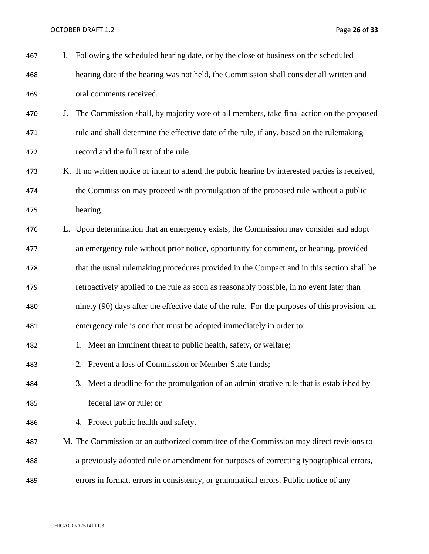OCTOBER DRAFT 1.2 Page 26 of 33

| 467 | I. | Following the scheduled hearing date, or by the close of business on the scheduled                |
|-----|----|---------------------------------------------------------------------------------------------------|
| 468 |    | hearing date if the hearing was not held, the Commission shall consider all written and           |
| 469 |    | oral comments received.                                                                           |
| 470 | J. | The Commission shall, by majority vote of all members, take final action on the proposed          |
| 471 |    | rule and shall determine the effective date of the rule, if any, based on the rulemaking          |
| 472 |    | record and the full text of the rule.                                                             |
| 473 |    | K. If no written notice of intent to attend the public hearing by interested parties is received, |
| 474 |    | the Commission may proceed with promulgation of the proposed rule without a public                |
| 475 |    | hearing.                                                                                          |
| 476 |    | L. Upon determination that an emergency exists, the Commission may consider and adopt             |
| 477 |    | an emergency rule without prior notice, opportunity for comment, or hearing, provided             |
| 478 |    | that the usual rulemaking procedures provided in the Compact and in this section shall be         |
| 479 |    | retroactively applied to the rule as soon as reasonably possible, in no event later than          |
| 480 |    | ninety (90) days after the effective date of the rule. For the purposes of this provision, an     |
| 481 |    | emergency rule is one that must be adopted immediately in order to:                               |
| 482 |    | 1. Meet an imminent threat to public health, safety, or welfare;                                  |
| 483 |    | 2. Prevent a loss of Commission or Member State funds;                                            |
| 484 |    | 3. Meet a deadline for the promulgation of an administrative rule that is established by          |
| 485 |    | federal law or rule; or                                                                           |
| 486 |    | 4. Protect public health and safety.                                                              |
| 487 |    | M. The Commission or an authorized committee of the Commission may direct revisions to            |
| 488 |    | a previously adopted rule or amendment for purposes of correcting typographical errors,           |
| 489 |    | errors in format, errors in consistency, or grammatical errors. Public notice of any              |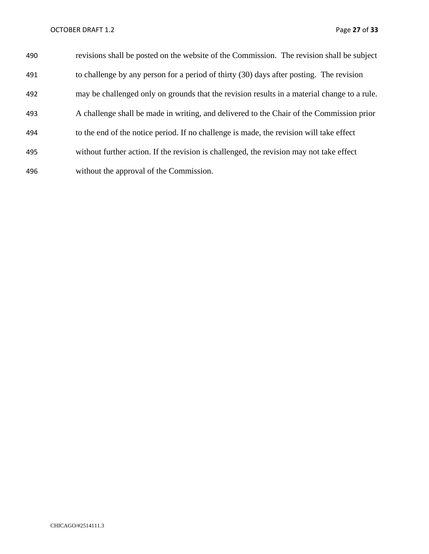| 490 | revisions shall be posted on the website of the Commission. The revision shall be subject   |
|-----|---------------------------------------------------------------------------------------------|
| 491 | to challenge by any person for a period of thirty (30) days after posting. The revision     |
| 492 | may be challenged only on grounds that the revision results in a material change to a rule. |
| 493 | A challenge shall be made in writing, and delivered to the Chair of the Commission prior    |
| 494 | to the end of the notice period. If no challenge is made, the revision will take effect     |
| 495 | without further action. If the revision is challenged, the revision may not take effect     |
| 496 | without the approval of the Commission.                                                     |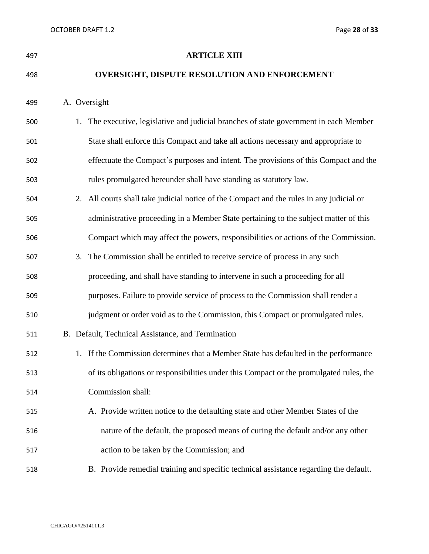| 497 | <b>ARTICLE XIII</b>                                                                      |
|-----|------------------------------------------------------------------------------------------|
| 498 | <b>OVERSIGHT, DISPUTE RESOLUTION AND ENFORCEMENT</b>                                     |
| 499 | A. Oversight                                                                             |
| 500 | 1. The executive, legislative and judicial branches of state government in each Member   |
| 501 | State shall enforce this Compact and take all actions necessary and appropriate to       |
| 502 | effectuate the Compact's purposes and intent. The provisions of this Compact and the     |
| 503 | rules promulgated hereunder shall have standing as statutory law.                        |
| 504 | 2. All courts shall take judicial notice of the Compact and the rules in any judicial or |
| 505 | administrative proceeding in a Member State pertaining to the subject matter of this     |
| 506 | Compact which may affect the powers, responsibilities or actions of the Commission.      |
| 507 | The Commission shall be entitled to receive service of process in any such<br>3.         |
| 508 | proceeding, and shall have standing to intervene in such a proceeding for all            |
| 509 | purposes. Failure to provide service of process to the Commission shall render a         |
| 510 | judgment or order void as to the Commission, this Compact or promulgated rules.          |
| 511 | B. Default, Technical Assistance, and Termination                                        |
| 512 | 1. If the Commission determines that a Member State has defaulted in the performance     |
| 513 | of its obligations or responsibilities under this Compact or the promulgated rules, the  |
| 514 | Commission shall:                                                                        |
| 515 | A. Provide written notice to the defaulting state and other Member States of the         |
| 516 | nature of the default, the proposed means of curing the default and/or any other         |
| 517 | action to be taken by the Commission; and                                                |
| 518 | B. Provide remedial training and specific technical assistance regarding the default.    |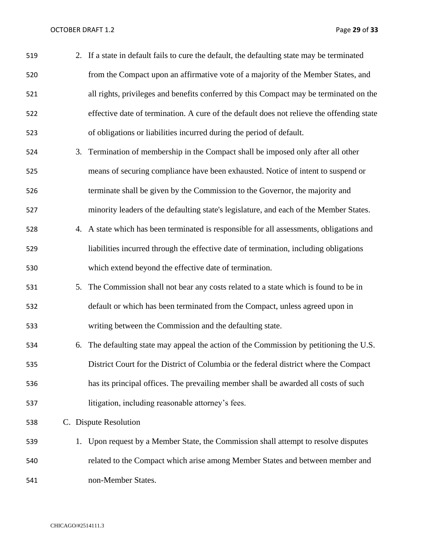OCTOBER DRAFT 1.2 Page 29 of 33

| 519 |    | 2. If a state in default fails to cure the default, the defaulting state may be terminated |
|-----|----|--------------------------------------------------------------------------------------------|
| 520 |    | from the Compact upon an affirmative vote of a majority of the Member States, and          |
| 521 |    | all rights, privileges and benefits conferred by this Compact may be terminated on the     |
| 522 |    | effective date of termination. A cure of the default does not relieve the offending state  |
| 523 |    | of obligations or liabilities incurred during the period of default.                       |
| 524 |    | 3. Termination of membership in the Compact shall be imposed only after all other          |
| 525 |    | means of securing compliance have been exhausted. Notice of intent to suspend or           |
| 526 |    | terminate shall be given by the Commission to the Governor, the majority and               |
| 527 |    | minority leaders of the defaulting state's legislature, and each of the Member States.     |
| 528 |    | 4. A state which has been terminated is responsible for all assessments, obligations and   |
| 529 |    | liabilities incurred through the effective date of termination, including obligations      |
| 530 |    | which extend beyond the effective date of termination.                                     |
| 531 |    | 5. The Commission shall not bear any costs related to a state which is found to be in      |
| 532 |    | default or which has been terminated from the Compact, unless agreed upon in               |
| 533 |    | writing between the Commission and the defaulting state.                                   |
| 534 | 6. | The defaulting state may appeal the action of the Commission by petitioning the U.S.       |
| 535 |    | District Court for the District of Columbia or the federal district where the Compact      |
| 536 |    | has its principal offices. The prevailing member shall be awarded all costs of such        |
| 537 |    | litigation, including reasonable attorney's fees.                                          |
| 538 |    | C. Dispute Resolution                                                                      |
| 539 |    | 1. Upon request by a Member State, the Commission shall attempt to resolve disputes        |
| 540 |    | related to the Compact which arise among Member States and between member and              |
| 541 |    | non-Member States.                                                                         |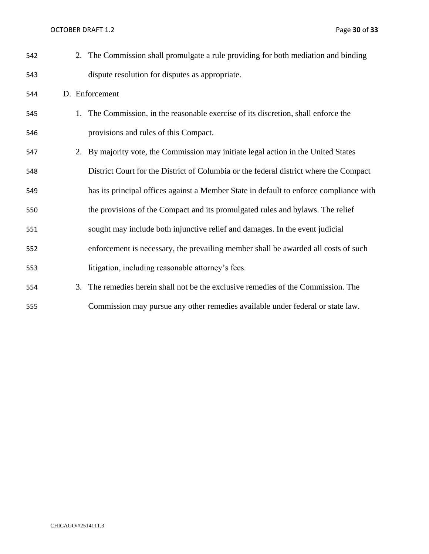OCTOBER DRAFT 1.2 Page 30 of 33

| 542 |    | 2. The Commission shall promulgate a rule providing for both mediation and binding     |
|-----|----|----------------------------------------------------------------------------------------|
| 543 |    | dispute resolution for disputes as appropriate.                                        |
| 544 |    | D. Enforcement                                                                         |
| 545 |    | 1. The Commission, in the reasonable exercise of its discretion, shall enforce the     |
| 546 |    | provisions and rules of this Compact.                                                  |
| 547 |    | 2. By majority vote, the Commission may initiate legal action in the United States     |
| 548 |    | District Court for the District of Columbia or the federal district where the Compact  |
| 549 |    | has its principal offices against a Member State in default to enforce compliance with |
| 550 |    | the provisions of the Compact and its promulgated rules and bylaws. The relief         |
| 551 |    | sought may include both injunctive relief and damages. In the event judicial           |
| 552 |    | enforcement is necessary, the prevailing member shall be awarded all costs of such     |
| 553 |    | litigation, including reasonable attorney's fees.                                      |
| 554 | 3. | The remedies herein shall not be the exclusive remedies of the Commission. The         |
| 555 |    | Commission may pursue any other remedies available under federal or state law.         |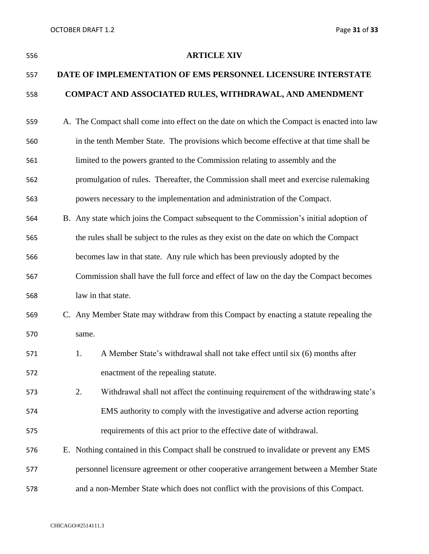| 556 | <b>ARTICLE XIV</b>                                                                         |
|-----|--------------------------------------------------------------------------------------------|
| 557 | DATE OF IMPLEMENTATION OF EMS PERSONNEL LICENSURE INTERSTATE                               |
| 558 | COMPACT AND ASSOCIATED RULES, WITHDRAWAL, AND AMENDMENT                                    |
| 559 | A. The Compact shall come into effect on the date on which the Compact is enacted into law |
| 560 | in the tenth Member State. The provisions which become effective at that time shall be     |
| 561 | limited to the powers granted to the Commission relating to assembly and the               |
| 562 | promulgation of rules. Thereafter, the Commission shall meet and exercise rulemaking       |
| 563 | powers necessary to the implementation and administration of the Compact.                  |
| 564 | B. Any state which joins the Compact subsequent to the Commission's initial adoption of    |
| 565 | the rules shall be subject to the rules as they exist on the date on which the Compact     |
| 566 | becomes law in that state. Any rule which has been previously adopted by the               |
| 567 | Commission shall have the full force and effect of law on the day the Compact becomes      |
| 568 | law in that state.                                                                         |
| 569 | C. Any Member State may withdraw from this Compact by enacting a statute repealing the     |
| 570 | same.                                                                                      |
| 571 | 1.<br>A Member State's withdrawal shall not take effect until six (6) months after         |
| 572 | enactment of the repealing statute.                                                        |
| 573 | 2.<br>Withdrawal shall not affect the continuing requirement of the withdrawing state's    |
| 574 | EMS authority to comply with the investigative and adverse action reporting                |
| 575 | requirements of this act prior to the effective date of withdrawal.                        |
| 576 | E. Nothing contained in this Compact shall be construed to invalidate or prevent any EMS   |
| 577 | personnel licensure agreement or other cooperative arrangement between a Member State      |
| 578 | and a non-Member State which does not conflict with the provisions of this Compact.        |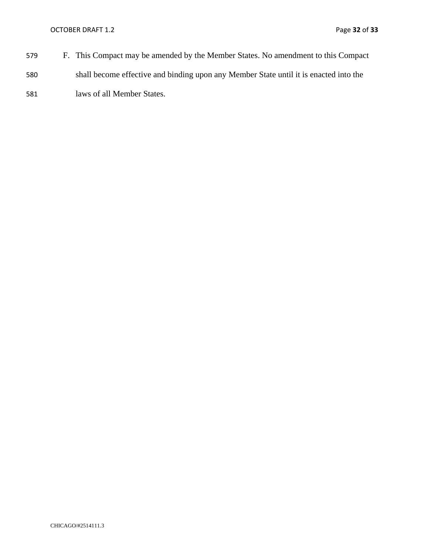- 579 F. This Compact may be amended by the Member States. No amendment to this Compact 580 shall become effective and binding upon any Member State until it is enacted into the
- 581 laws of all Member States.